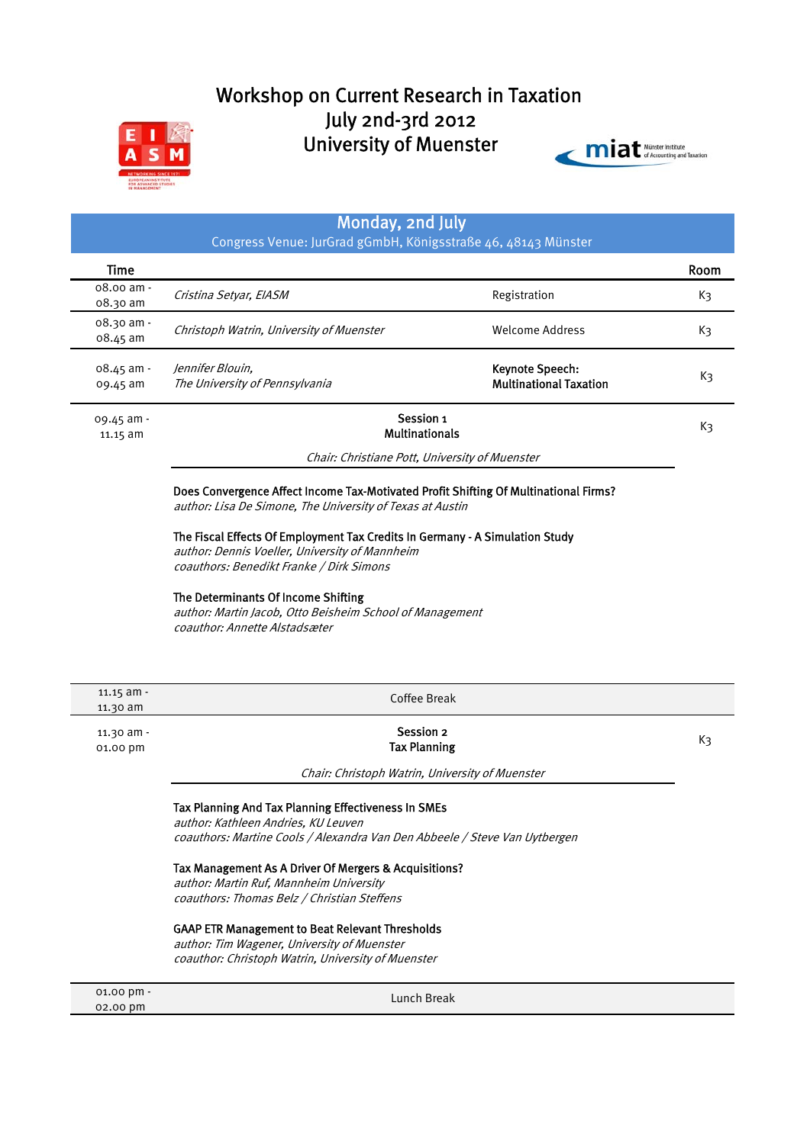# Workshop on Current Research in Taxation July 2nd-3rd 2012 University of Muenster **miat** Münster Institute



# Monday, 2nd July

Congress Venue: JurGrad gGmbH, Königsstraße 46, 48143 Münster

| Time                     |                                                    |                                                  | Room |
|--------------------------|----------------------------------------------------|--------------------------------------------------|------|
| 08.00 am -<br>08.30 am   | Cristina Setyar, EIASM                             | Registration                                     | Kз   |
| 08.30 am -<br>08.45 am   | Christoph Watrin, University of Muenster           | Welcome Address                                  | Kз   |
| $08.45$ am -<br>09.45 am | Jennifer Blouin.<br>The University of Pennsylvania | Keynote Speech:<br><b>Multinational Taxation</b> | Kз   |
| 09.45 am -<br>11.15 am   | Session 1<br><b>Multinationals</b>                 |                                                  | Kз   |

Chair: Christiane Pott, University of Muenster

## Does Convergence Affect Income Tax-Motivated Profit Shifting Of Multinational Firms?

author: Lisa De Simone, The University of Texas at Austin

#### The Fiscal Effects Of Employment Tax Credits In Germany - A Simulation Study

author: Dennis Voeller, University of Mannheim coauthors: Benedikt Franke / Dirk Simons

#### The Determinants Of Income Shifting

author: Martin Jacob, Otto Beisheim School of Management coauthor: Annette Alstadsæter

| $11.15$ am -                                    | Coffee Break                     |    |
|-------------------------------------------------|----------------------------------|----|
| 11.30 am                                        |                                  |    |
| $11.30$ am -<br>01.00 pm                        | Session 2<br><b>Tax Planning</b> | Kз |
| Chair: Christoph Watrin, University of Muenster |                                  |    |
|                                                 |                                  |    |

## Tax Planning And Tax Planning Effectiveness In SMEs

author: Kathleen Andries, KU Leuven coauthors: Martine Cools / Alexandra Van Den Abbeele / Steve Van Uytbergen

## Tax Management As A Driver Of Mergers & Acquisitions?

author: Martin Ruf, Mannheim University coauthors: Thomas Belz / Christian Steffens

## GAAP ETR Management to Beat Relevant Thresholds

author: Tim Wagener, University of Muenster coauthor: Christoph Watrin, University of Muenster

| 01.00 pm - | Lunch Break |
|------------|-------------|
| 02.00 pm   |             |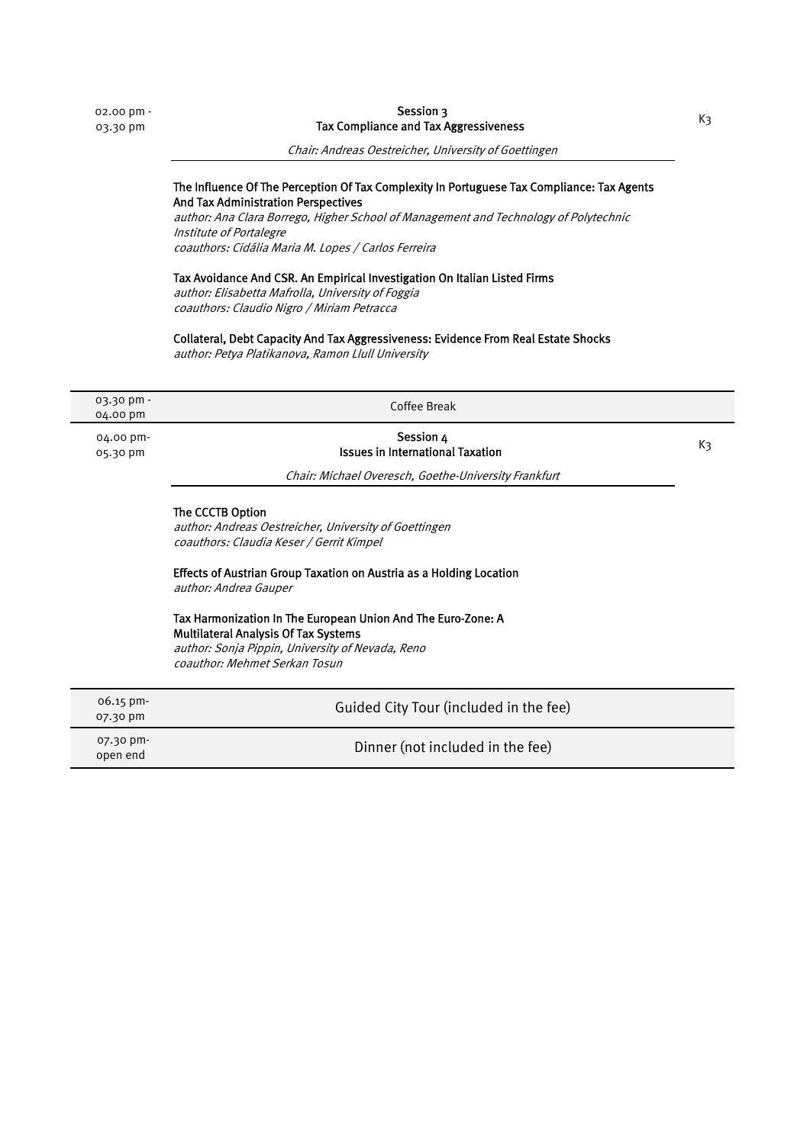## 03.30 pm K3 Tax Compliance and Tax Aggressiveness Session 3

Chair: Andreas Oestreicher, University of Goettingen

## The Influence Of The Perception Of Tax Complexity In Portuguese Tax Compliance: Tax Agents And Tax Administration Perspectives

author: Ana Clara Borrego, Higher School of Management and Technology of Polytechnic Institute of Portalegre coauthors: Cidália Maria M. Lopes / Carlos Ferreira

## Tax Avoidance And CSR. An Empirical Investigation On Italian Listed Firms

author: Elisabetta Mafrolla, University of Foggia coauthors: Claudio Nigro / Miriam Petracca

#### Collateral, Debt Capacity And Tax Aggressiveness: Evidence From Real Estate Shocks

author: Petya Platikanova, Ramon Llull University

| 03.30 pm -<br>04.00 pm | Coffee Break                                                                                                                                                                                                                                                                                                                                                                                                              |    |
|------------------------|---------------------------------------------------------------------------------------------------------------------------------------------------------------------------------------------------------------------------------------------------------------------------------------------------------------------------------------------------------------------------------------------------------------------------|----|
| 04.00 pm-<br>05.30 pm  | Session 4<br><b>Issues in International Taxation</b>                                                                                                                                                                                                                                                                                                                                                                      | Kз |
|                        | Chair: Michael Overesch, Goethe-University Frankfurt                                                                                                                                                                                                                                                                                                                                                                      |    |
|                        | The CCCTB Option<br>author: Andreas Oestreicher, University of Goettingen<br>coauthors: Claudia Keser / Gerrit Kimpel<br>Effects of Austrian Group Taxation on Austria as a Holding Location<br>author: Andrea Gauper<br>Tax Harmonization In The European Union And The Euro-Zone: A<br><b>Multilateral Analysis Of Tax Systems</b><br>author: Sonja Pippin, University of Nevada, Reno<br>coauthor: Mehmet Serkan Tosun |    |
| 06.15 pm-<br>07.30 pm  | Guided City Tour (included in the fee)                                                                                                                                                                                                                                                                                                                                                                                    |    |

 07.30 pmopen end

Dinner (not included in the fee)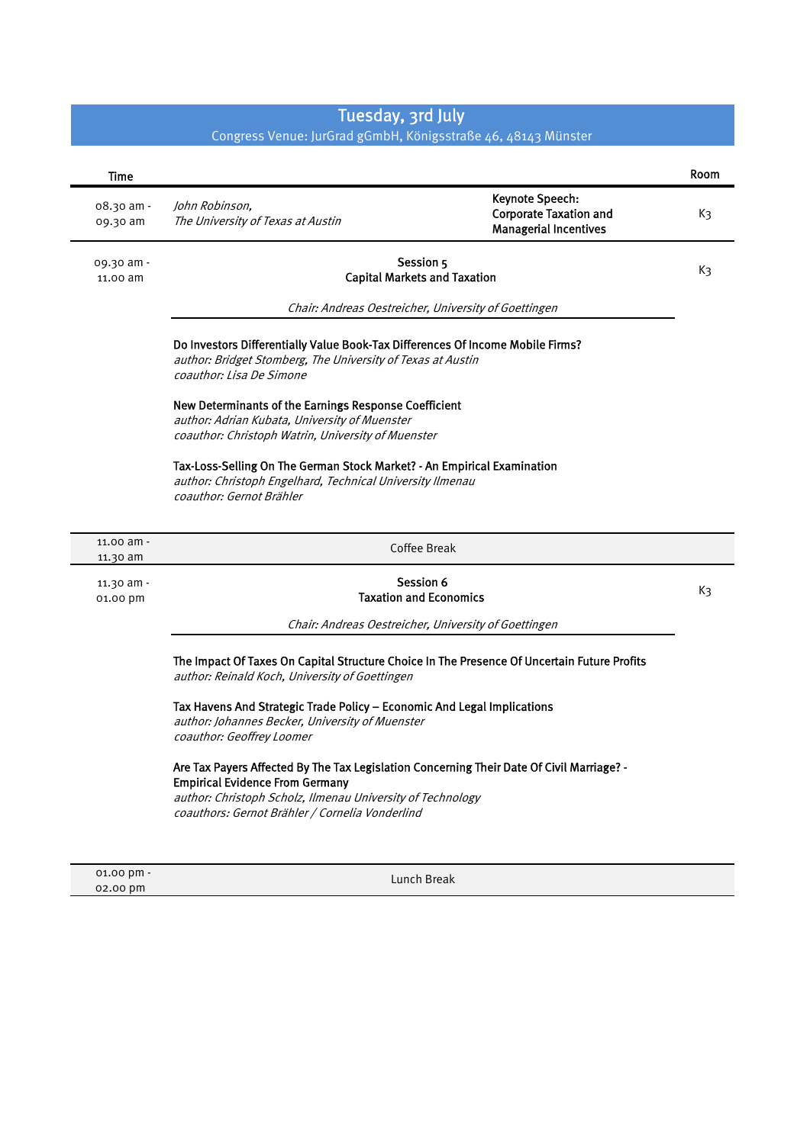# Tuesday, 3rd July

## Congress Venue: JurGrad gGmbH, Königsstraße 46, 48143 Münster

| Time                   |                                                                                                                                                                                                                                                                                                                                           |                                                                                  | Room |
|------------------------|-------------------------------------------------------------------------------------------------------------------------------------------------------------------------------------------------------------------------------------------------------------------------------------------------------------------------------------------|----------------------------------------------------------------------------------|------|
| 08.30 am -<br>09.30 am | John Robinson,<br>The University of Texas at Austin                                                                                                                                                                                                                                                                                       | Keynote Speech:<br><b>Corporate Taxation and</b><br><b>Managerial Incentives</b> | K3   |
| 09.30 am -<br>11.00 am | Session 5<br><b>Capital Markets and Taxation</b>                                                                                                                                                                                                                                                                                          |                                                                                  | K3   |
|                        | Chair: Andreas Oestreicher, University of Goettingen                                                                                                                                                                                                                                                                                      |                                                                                  |      |
|                        | Do Investors Differentially Value Book-Tax Differences Of Income Mobile Firms?<br>author: Bridget Stomberg, The University of Texas at Austin<br>coauthor: Lisa De Simone<br>New Determinants of the Earnings Response Coefficient<br>author: Adrian Kubata, University of Muenster<br>coauthor: Christoph Watrin, University of Muenster |                                                                                  |      |
|                        | Tax-Loss-Selling On The German Stock Market? - An Empirical Examination<br>author: Christoph Engelhard, Technical University Ilmenau<br>coauthor: Gernot Brähler                                                                                                                                                                          |                                                                                  |      |
| 11.00 am -<br>11.30 am | <b>Coffee Break</b>                                                                                                                                                                                                                                                                                                                       |                                                                                  |      |
| 11.30 am -<br>01.00 pm | Session 6<br><b>Taxation and Economics</b>                                                                                                                                                                                                                                                                                                |                                                                                  | K3   |
|                        | Chair: Andreas Oestreicher, University of Goettingen                                                                                                                                                                                                                                                                                      |                                                                                  |      |
|                        | The Impact Of Taxes On Capital Structure Choice In The Presence Of Uncertain Future Profits<br>author: Reinald Koch, University of Goettingen                                                                                                                                                                                             |                                                                                  |      |
|                        | Tax Havens And Strategic Trade Policy - Economic And Legal Implications<br>author: Johannes Becker, University of Muenster<br>coauthor: Geoffrey Loomer                                                                                                                                                                                   |                                                                                  |      |
|                        | Are Tax Payers Affected By The Tax Legislation Concerning Their Date Of Civil Marriage? -<br><b>Empirical Evidence From Germany</b><br>author: Christoph Scholz, Ilmenau University of Technology<br>coauthors: Gernot Brähler / Cornelia Vonderlind                                                                                      |                                                                                  |      |
| 01.00 pm -             |                                                                                                                                                                                                                                                                                                                                           | unah Droob                                                                       |      |

Lunch Break

02.00 pm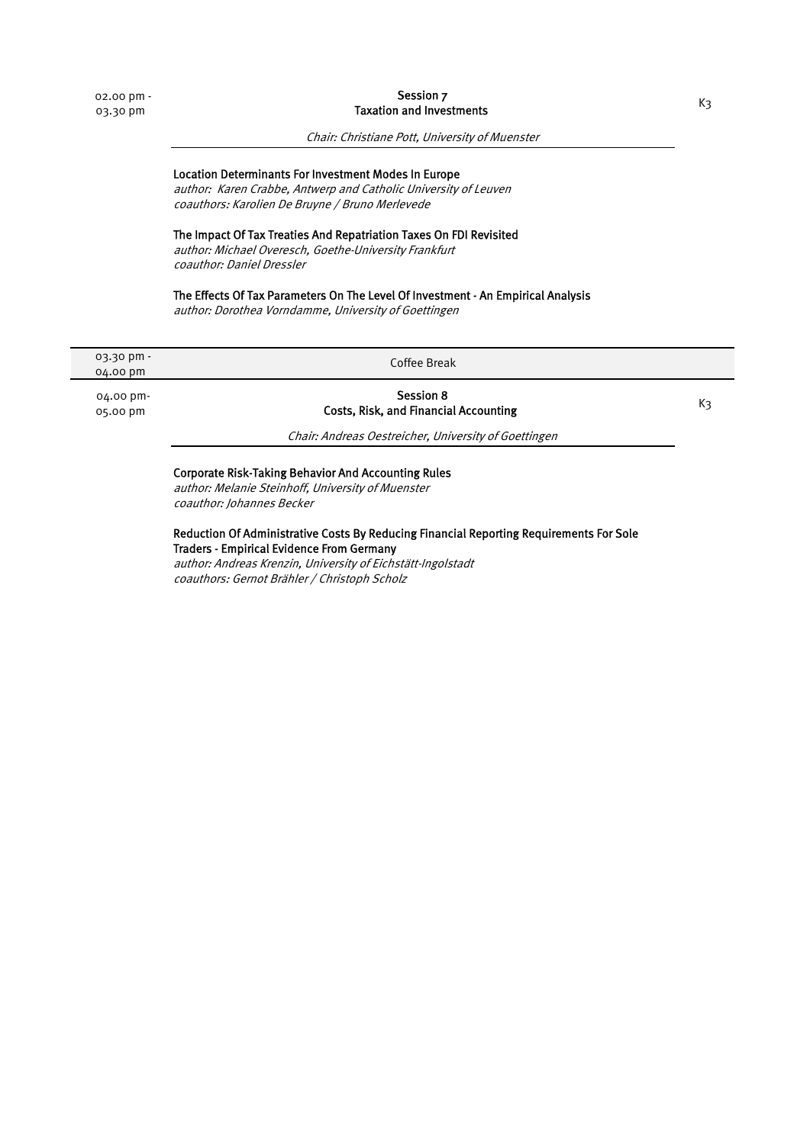## 03.30 pm K3 Taxation and InvestmentsSession 7

#### Chair: Christiane Pott, University of Muenster

## Location Determinants For Investment Modes In Europe

author: Karen Crabbe, Antwerp and Catholic University of Leuven coauthors: Karolien De Bruyne / Bruno Merlevede

## The Impact Of Tax Treaties And Repatriation Taxes On FDI Revisited

author: Michael Overesch, Goethe-University Frankfurt coauthor: Daniel Dressler

## The Effects Of Tax Parameters On The Level Of Investment - An Empirical Analysis

author: Dorothea Vorndamme, University of Goettingen

| $03.30$ pm -<br>04.00 pm          | Coffee Break                                                                                                                                 |    |
|-----------------------------------|----------------------------------------------------------------------------------------------------------------------------------------------|----|
| $04.00 \,\mathrm{pm}$<br>05.00 pm | <b>Session 8</b><br><b>Costs, Risk, and Financial Accounting</b>                                                                             | Kз |
|                                   | Chair: Andreas Oestreicher, University of Goettingen                                                                                         |    |
|                                   | <b>Corporate Risk-Taking Behavior And Accounting Rules</b><br>author: Melanie Steinhoff, University of Muenster<br>coauthor: Johannes Becker |    |

### Reduction Of Administrative Costs By Reducing Financial Reporting Requirements For Sole Traders - Empirical Evidence From Germany

author: Andreas Krenzin, University of Eichstätt-Ingolstadt coauthors: Gernot Brähler / Christoph Scholz